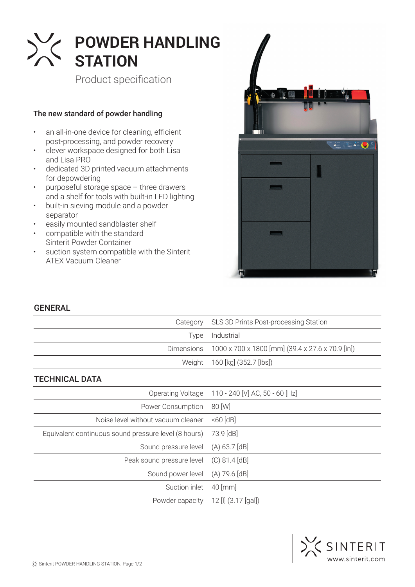

Product specification

## The new standard of powder handling

- an all-in-one device for cleaning, efficient post-processing, and powder recovery
- clever workspace designed for both Lisa and Lisa PRO
- dedicated 3D printed vacuum attachments for depowdering
- purposeful storage space three drawers and a shelf for tools with built-in LED lighting
- built-in sieving module and a powder separator
- easily mounted sandblaster shelf
- compatible with the standard Sinterit Powder Container
- suction system compatible with the Sinterit ATEX Vacuum Cleaner



## GENERAL

| Category                                             | SLS 3D Prints Post-processing Station            |
|------------------------------------------------------|--------------------------------------------------|
| Type                                                 | Industrial                                       |
| <b>Dimensions</b>                                    | 1000 x 700 x 1800 [mm] (39.4 x 27.6 x 70.9 [in]) |
| Weight                                               | 160 [kg] (352.7 [lbs])                           |
| <b>TECHNICAL DATA</b>                                |                                                  |
| Operating Voltage                                    | 110 - 240 [V] AC, 50 - 60 [Hz]                   |
| Power Consumption                                    | 80 [W]                                           |
| Noise level without vacuum cleaner                   | $<60$ [dB]                                       |
| Equivalent continuous sound pressure level (8 hours) | 73.9 [dB]                                        |
| Sound pressure level                                 | (A) 63.7 [dB]                                    |
| Peak sound pressure level                            | (C) 81.4 [dB]                                    |
| Sound power level                                    | (A) 79.6 [dB]                                    |
|                                                      |                                                  |

Powder capacity 12 [I] (3.17 [gal])

Suction inlet 40 [mm]